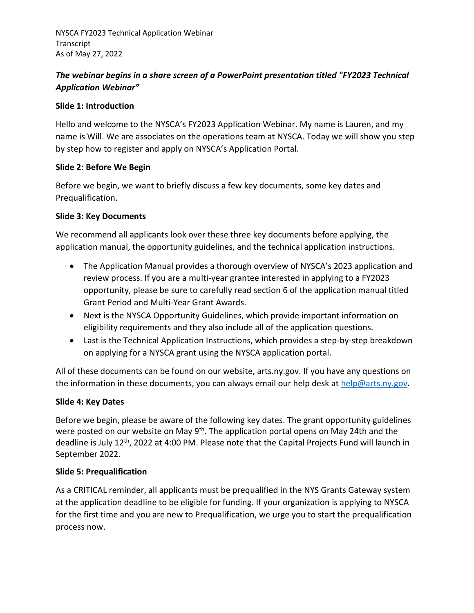# *The webinar begins in a share screen of a PowerPoint presentation titled "FY2023 Technical Application Webinar"*

### **Slide 1: Introduction**

Hello and welcome to the NYSCA's FY2023 Application Webinar. My name is Lauren, and my name is Will. We are associates on the operations team at NYSCA. Today we will show you step by step how to register and apply on NYSCA's Application Portal.

### **Slide 2: Before We Begin**

Before we begin, we want to briefly discuss a few key documents, some key dates and Prequalification.

### **Slide 3: Key Documents**

We recommend all applicants look over these three key documents before applying, the application manual, the opportunity guidelines, and the technical application instructions.

- The Application Manual provides a thorough overview of NYSCA's 2023 application and review process. If you are a multi-year grantee interested in applying to a FY2023 opportunity, please be sure to carefully read section 6 of the application manual titled Grant Period and Multi-Year Grant Awards.
- Next is the NYSCA Opportunity Guidelines, which provide important information on eligibility requirements and they also include all of the application questions.
- Last is the Technical Application Instructions, which provides a step-by-step breakdown on applying for a NYSCA grant using the NYSCA application portal.

All of these documents can be found on our website, arts.ny.gov. If you have any questions on the information in these documents, you can always email our help desk at [help@arts.ny.gov.](mailto:help@arts.ny.gov)

## **Slide 4: Key Dates**

Before we begin, please be aware of the following key dates. The grant opportunity guidelines were posted on our website on May 9<sup>th</sup>. The application portal opens on May 24th and the deadline is July 12<sup>th</sup>, 2022 at 4:00 PM. Please note that the Capital Projects Fund will launch in September 2022.

#### **Slide 5: Prequalification**

As a CRITICAL reminder, all applicants must be prequalified in the NYS Grants Gateway system at the application deadline to be eligible for funding. If your organization is applying to NYSCA for the first time and you are new to Prequalification, we urge you to start the prequalification process now.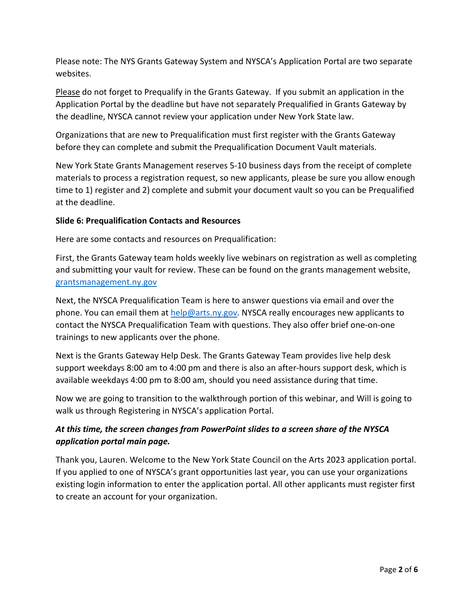Please note: The NYS Grants Gateway System and NYSCA's Application Portal are two separate websites.

Please do not forget to Prequalify in the Grants Gateway. If you submit an application in the Application Portal by the deadline but have not separately Prequalified in Grants Gateway by the deadline, NYSCA cannot review your application under New York State law.

Organizations that are new to Prequalification must first register with the Grants Gateway before they can complete and submit the Prequalification Document Vault materials.

New York State Grants Management reserves 5-10 business days from the receipt of complete materials to process a registration request, so new applicants, please be sure you allow enough time to 1) register and 2) complete and submit your document vault so you can be Prequalified at the deadline.

#### **Slide 6: Prequalification Contacts and Resources**

Here are some contacts and resources on Prequalification:

First, the Grants Gateway team holds weekly live webinars on registration as well as completing and submitting your vault for review. These can be found on the grants management website, [grantsmanagement.ny.gov](http://grantsmanagement.ny.gov/)

Next, the NYSCA Prequalification Team is here to answer questions via email and over the phone. You can email them at  $help@arts.py.gov$ . NYSCA really encourages new applicants to contact the NYSCA Prequalification Team with questions. They also offer brief one-on-one trainings to new applicants over the phone.

Next is the Grants Gateway Help Desk. The Grants Gateway Team provides live help desk support weekdays 8:00 am to 4:00 pm and there is also an after-hours support desk, which is available weekdays 4:00 pm to 8:00 am, should you need assistance during that time.

Now we are going to transition to the walkthrough portion of this webinar, and Will is going to walk us through Registering in NYSCA's application Portal.

# *At this time, the screen changes from PowerPoint slides to a screen share of the NYSCA application portal main page.*

Thank you, Lauren. Welcome to the New York State Council on the Arts 2023 application portal. If you applied to one of NYSCA's grant opportunities last year, you can use your organizations existing login information to enter the application portal. All other applicants must register first to create an account for your organization.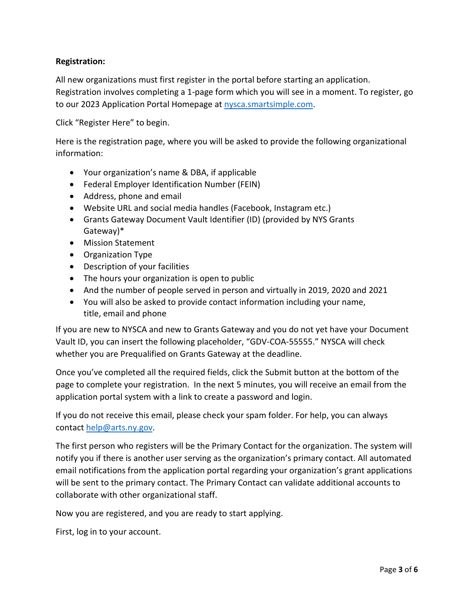### **Registration:**

All new organizations must first register in the portal before starting an application. Registration involves completing a 1-page form which you will see in a moment. To register, go to our 2023 Application Portal Homepage at [nysca.smartsimple.com.](http://www.nysca.smartsimple.com/)

Click "Register Here" to begin.

Here is the registration page, where you will be asked to provide the following organizational information:

- Your organization's name & DBA, if applicable
- Federal Employer Identification Number (FEIN)
- Address, phone and email
- Website URL and social media handles (Facebook, Instagram etc.)
- Grants Gateway Document Vault Identifier (ID) (provided by NYS Grants Gateway)\*
- Mission Statement
- Organization Type
- Description of your facilities
- The hours your organization is open to public
- And the number of people served in person and virtually in 2019, 2020 and 2021
- You will also be asked to provide contact information including your name, title, email and phone

If you are new to NYSCA and new to Grants Gateway and you do not yet have your Document Vault ID, you can insert the following placeholder, "GDV-COA-55555." NYSCA will check whether you are Prequalified on Grants Gateway at the deadline.

Once you've completed all the required fields, click the Submit button at the bottom of the page to complete your registration. In the next 5 minutes, you will receive an email from the application portal system with a link to create a password and login.

If you do not receive this email, please check your spam folder. For help, you can always contact [help@arts.ny.gov.](mailto:help@arts.ny.gov)

The first person who registers will be the Primary Contact for the organization. The system will notify you if there is another user serving as the organization's primary contact. All automated email notifications from the application portal regarding your organization's grant applications will be sent to the primary contact. The Primary Contact can validate additional accounts to collaborate with other organizational staff.

Now you are registered, and you are ready to start applying.

First, log in to your account.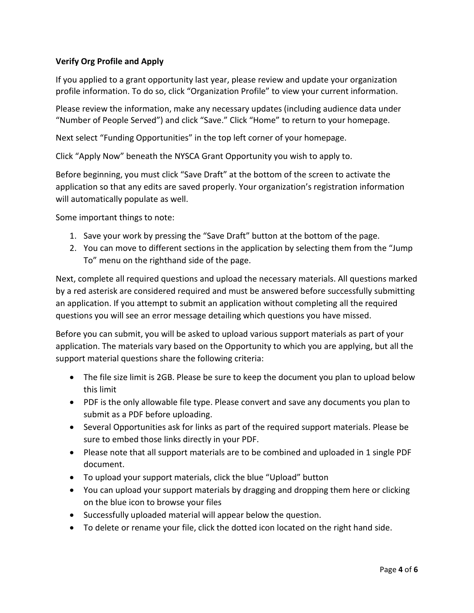## **Verify Org Profile and Apply**

If you applied to a grant opportunity last year, please review and update your organization profile information. To do so, click "Organization Profile" to view your current information.

Please review the information, make any necessary updates (including audience data under "Number of People Served") and click "Save." Click "Home" to return to your homepage.

Next select "Funding Opportunities" in the top left corner of your homepage.

Click "Apply Now" beneath the NYSCA Grant Opportunity you wish to apply to.

Before beginning, you must click "Save Draft" at the bottom of the screen to activate the application so that any edits are saved properly. Your organization's registration information will automatically populate as well.

Some important things to note:

- 1. Save your work by pressing the "Save Draft" button at the bottom of the page.
- 2. You can move to different sections in the application by selecting them from the "Jump To" menu on the righthand side of the page.

Next, complete all required questions and upload the necessary materials. All questions marked by a red asterisk are considered required and must be answered before successfully submitting an application. If you attempt to submit an application without completing all the required questions you will see an error message detailing which questions you have missed.

Before you can submit, you will be asked to upload various support materials as part of your application. The materials vary based on the Opportunity to which you are applying, but all the support material questions share the following criteria:

- The file size limit is 2GB. Please be sure to keep the document you plan to upload below this limit
- PDF is the only allowable file type. Please convert and save any documents you plan to submit as a PDF before uploading.
- Several Opportunities ask for links as part of the required support materials. Please be sure to embed those links directly in your PDF.
- Please note that all support materials are to be combined and uploaded in 1 single PDF document.
- To upload your support materials, click the blue "Upload" button
- You can upload your support materials by dragging and dropping them here or clicking on the blue icon to browse your files
- Successfully uploaded material will appear below the question.
- To delete or rename your file, click the dotted icon located on the right hand side.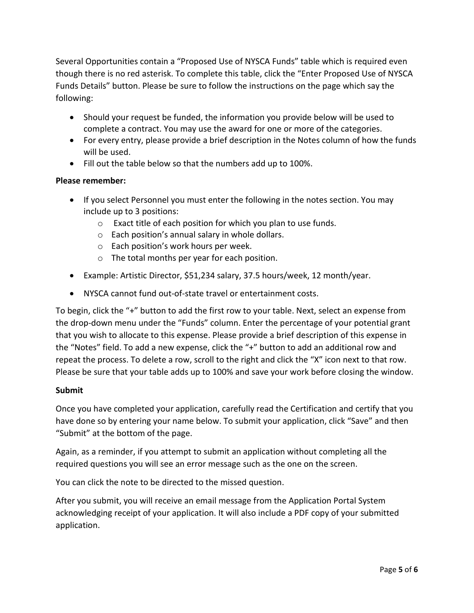Several Opportunities contain a "Proposed Use of NYSCA Funds" table which is required even though there is no red asterisk. To complete this table, click the "Enter Proposed Use of NYSCA Funds Details" button. Please be sure to follow the instructions on the page which say the following:

- Should your request be funded, the information you provide below will be used to complete a contract. You may use the award for one or more of the categories.
- For every entry, please provide a brief description in the Notes column of how the funds will be used.
- Fill out the table below so that the numbers add up to 100%.

### **Please remember:**

- If you select Personnel you must enter the following in the notes section. You may include up to 3 positions:
	- o Exact title of each position for which you plan to use funds.
	- o Each position's annual salary in whole dollars.
	- o Each position's work hours per week.
	- o The total months per year for each position.
- Example: Artistic Director, \$51,234 salary, 37.5 hours/week, 12 month/year.
- NYSCA cannot fund out-of-state travel or entertainment costs.

To begin, click the "+" button to add the first row to your table. Next, select an expense from the drop-down menu under the "Funds" column. Enter the percentage of your potential grant that you wish to allocate to this expense. Please provide a brief description of this expense in the "Notes" field. To add a new expense, click the "+" button to add an additional row and repeat the process. To delete a row, scroll to the right and click the "X" icon next to that row. Please be sure that your table adds up to 100% and save your work before closing the window.

#### **Submit**

Once you have completed your application, carefully read the Certification and certify that you have done so by entering your name below. To submit your application, click "Save" and then "Submit" at the bottom of the page.

Again, as a reminder, if you attempt to submit an application without completing all the required questions you will see an error message such as the one on the screen.

You can click the note to be directed to the missed question.

After you submit, you will receive an email message from the Application Portal System acknowledging receipt of your application. It will also include a PDF copy of your submitted application.